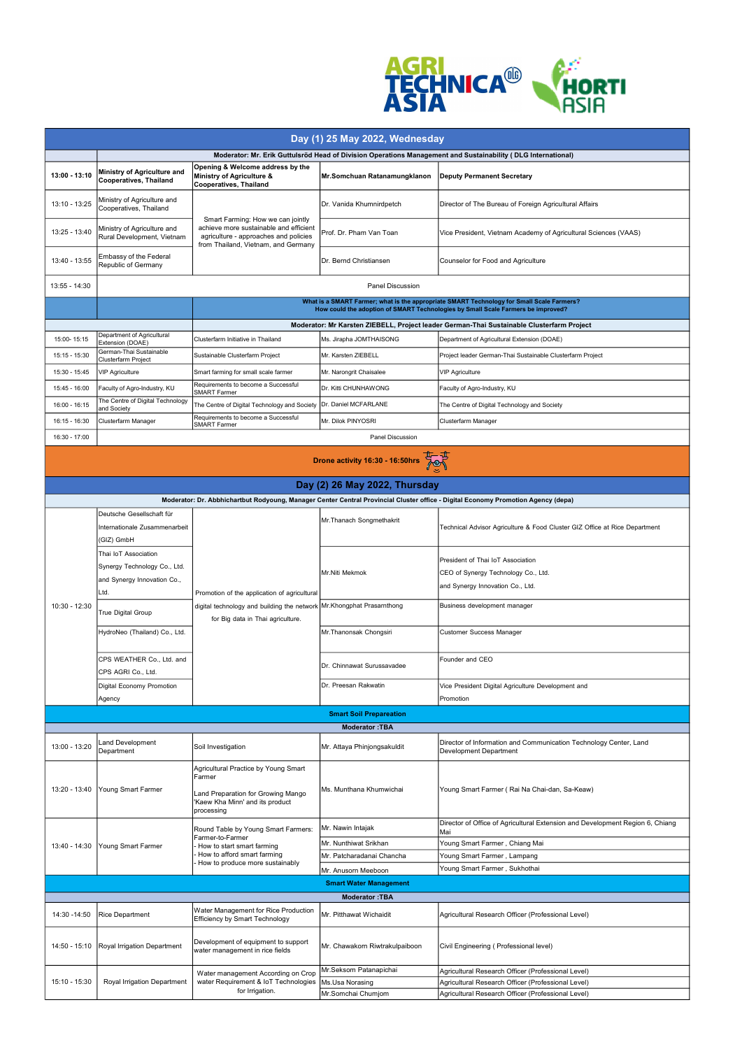

| Day (1) 25 May 2022, Wednesday                                                                               |                                                                                                                                                                               |                                                                                                                                                             |                                |                                                                                                                                   |  |  |  |  |
|--------------------------------------------------------------------------------------------------------------|-------------------------------------------------------------------------------------------------------------------------------------------------------------------------------|-------------------------------------------------------------------------------------------------------------------------------------------------------------|--------------------------------|-----------------------------------------------------------------------------------------------------------------------------------|--|--|--|--|
| Moderator: Mr. Erik Guttulsröd Head of Division Operations Management and Sustainability (DLG International) |                                                                                                                                                                               |                                                                                                                                                             |                                |                                                                                                                                   |  |  |  |  |
| $13:00 - 13:10$                                                                                              | Ministry of Agriculture and<br><b>Cooperatives, Thailand</b>                                                                                                                  | Opening & Welcome address by the<br>Ministry of Agriculture &<br><b>Cooperatives, Thailand</b>                                                              | Mr.Somchuan Ratanamungklanon   | <b>Deputy Permanent Secretary</b>                                                                                                 |  |  |  |  |
| $13:10 - 13:25$                                                                                              | Ministry of Agriculture and<br>Cooperatives, Thailand                                                                                                                         |                                                                                                                                                             | Dr. Vanida Khumnirdpetch       | Director of The Bureau of Foreign Agricultural Affairs                                                                            |  |  |  |  |
| $13:25 - 13:40$                                                                                              | Ministry of Agriculture and<br>Rural Development, Vietnam                                                                                                                     | Smart Farming: How we can jointly<br>achieve more sustainable and efficient<br>agriculture - approaches and policies<br>from Thailand, Vietnam, and Germany | Prof. Dr. Pham Van Toan        | Vice President, Vietnam Academy of Agricultural Sciences (VAAS)                                                                   |  |  |  |  |
| 13:40 - 13:55                                                                                                | Embassy of the Federal<br>Republic of Germany                                                                                                                                 |                                                                                                                                                             | Dr. Bernd Christiansen         | Counselor for Food and Agriculture                                                                                                |  |  |  |  |
| 13:55 - 14:30                                                                                                | <b>Panel Discussion</b>                                                                                                                                                       |                                                                                                                                                             |                                |                                                                                                                                   |  |  |  |  |
|                                                                                                              | What is a SMART Farmer; what is the appropriate SMART Technology for Small Scale Farmers?<br>How could the adoption of SMART Technologies by Small Scale Farmers be improved? |                                                                                                                                                             |                                |                                                                                                                                   |  |  |  |  |
|                                                                                                              | Moderator: Mr Karsten ZIEBELL, Project leader German-Thai Sustainable Clusterfarm Project                                                                                     |                                                                                                                                                             |                                |                                                                                                                                   |  |  |  |  |
| 15:00-15:15                                                                                                  | Department of Agricultural<br>Extension (DOAE)                                                                                                                                | Clusterfarm Initiative in Thailand                                                                                                                          | Ms. Jirapha JOMTHAISONG        | Department of Agricultural Extension (DOAE)                                                                                       |  |  |  |  |
| 15:15 - 15:30                                                                                                | German-Thai Sustainable<br>Clusterfarm Project                                                                                                                                | Sustainable Clusterfarm Project                                                                                                                             | Mr. Karsten ZIEBELL            | Project leader German-Thai Sustainable Clusterfarm Project                                                                        |  |  |  |  |
| 15:30 - 15:45                                                                                                | <b>VIP Agriculture</b>                                                                                                                                                        | Smart farming for small scale farmer                                                                                                                        | Mr. Narongrit Chaisalee        | <b>VIP Agriculture</b>                                                                                                            |  |  |  |  |
| 15:45 - 16:00                                                                                                | Faculty of Agro-Industry, KU                                                                                                                                                  | Requirements to become a Successful                                                                                                                         | Dr. Kitti CHUNHAWONG           | Faculty of Agro-Industry, KU                                                                                                      |  |  |  |  |
| $16:00 - 16:15$                                                                                              | The Centre of Digital Technology                                                                                                                                              | <b>SMART Farmer</b><br>The Centre of Digital Technology and Society   Dr. Daniel MCFARLANE                                                                  |                                | The Centre of Digital Technology and Society                                                                                      |  |  |  |  |
| 16:15 - 16:30                                                                                                | and Society<br>Clusterfarm Manager                                                                                                                                            | Requirements to become a Successful                                                                                                                         | Mr. Dilok PINYOSRI             | Clusterfarm Manager                                                                                                               |  |  |  |  |
| 16:30 - 17:00                                                                                                |                                                                                                                                                                               | <b>SMART Farmer</b>                                                                                                                                         | Panel Discussion               |                                                                                                                                   |  |  |  |  |
|                                                                                                              |                                                                                                                                                                               |                                                                                                                                                             |                                |                                                                                                                                   |  |  |  |  |
|                                                                                                              | Drone activity 16:30 - 16:50hrs                                                                                                                                               |                                                                                                                                                             |                                |                                                                                                                                   |  |  |  |  |
|                                                                                                              |                                                                                                                                                                               |                                                                                                                                                             |                                |                                                                                                                                   |  |  |  |  |
|                                                                                                              |                                                                                                                                                                               |                                                                                                                                                             | Day (2) 26 May 2022, Thursday  | Moderator: Dr. Abbhichartbut Rodyoung, Manager Center Central Provincial Cluster office - Digital Economy Promotion Agency (depa) |  |  |  |  |
|                                                                                                              | Deutsche Gesellschaft für                                                                                                                                                     |                                                                                                                                                             |                                |                                                                                                                                   |  |  |  |  |
|                                                                                                              | Internationale Zusammenarbeit                                                                                                                                                 |                                                                                                                                                             | Mr. Thanach Songmethakrit      | Technical Advisor Agriculture & Food Cluster GIZ Office at Rice Department                                                        |  |  |  |  |
|                                                                                                              | (GIZ) GmbH                                                                                                                                                                    | Promotion of the application of agricultural<br>digital technology and building the network Mr.Khongphat Prasarnthong<br>for Big data in Thai agriculture.  |                                |                                                                                                                                   |  |  |  |  |
|                                                                                                              | Thai IoT Association                                                                                                                                                          |                                                                                                                                                             | Mr.Niti Mekmok                 |                                                                                                                                   |  |  |  |  |
|                                                                                                              | Synergy Technology Co., Ltd.                                                                                                                                                  |                                                                                                                                                             |                                | President of Thai IoT Association<br>CEO of Synergy Technology Co., Ltd.                                                          |  |  |  |  |
|                                                                                                              | and Synergy Innovation Co.,                                                                                                                                                   |                                                                                                                                                             |                                | and Synergy Innovation Co., Ltd.                                                                                                  |  |  |  |  |
|                                                                                                              | ∟td.                                                                                                                                                                          |                                                                                                                                                             |                                |                                                                                                                                   |  |  |  |  |
| 10:30 - 12:30                                                                                                | True Digital Group                                                                                                                                                            |                                                                                                                                                             |                                | Business development manager                                                                                                      |  |  |  |  |
|                                                                                                              | HydroNeo (Thailand) Co., Ltd.                                                                                                                                                 |                                                                                                                                                             | Mr. Thanonsak Chongsiri        | <b>Customer Success Manager</b>                                                                                                   |  |  |  |  |
|                                                                                                              | CPS WEATHER Co., Ltd. and<br>CPS AGRI Co., Ltd.                                                                                                                               |                                                                                                                                                             | Dr. Chinnawat Surussavadee     | Founder and CEO                                                                                                                   |  |  |  |  |
|                                                                                                              | Digital Economy Promotion                                                                                                                                                     |                                                                                                                                                             | Dr. Preesan Rakwatin           | Vice President Digital Agriculture Development and                                                                                |  |  |  |  |
|                                                                                                              | Agency                                                                                                                                                                        |                                                                                                                                                             |                                | Promotion                                                                                                                         |  |  |  |  |
| <b>Smart Soil Prepareation</b><br><b>Moderator: TBA</b>                                                      |                                                                                                                                                                               |                                                                                                                                                             |                                |                                                                                                                                   |  |  |  |  |
|                                                                                                              | and Development                                                                                                                                                               |                                                                                                                                                             |                                | Director of Information and Communication Technology Center, Land                                                                 |  |  |  |  |
| 13:00 - 13:20                                                                                                | Department                                                                                                                                                                    | Soil Investigation                                                                                                                                          | Mr. Attaya Phinjongsakuldit    | Development Department                                                                                                            |  |  |  |  |
| $13:20 - 13:40$                                                                                              | Young Smart Farmer                                                                                                                                                            | Agricultural Practice by Young Smart<br>Farmer                                                                                                              | Ms. Munthana Khumwichai        | Young Smart Farmer (Rai Na Chai-dan, Sa-Keaw)                                                                                     |  |  |  |  |
|                                                                                                              |                                                                                                                                                                               | Land Preparation for Growing Mango<br>'Kaew Kha Minn' and its product<br>processing                                                                         |                                |                                                                                                                                   |  |  |  |  |
| 13:40 - 14:30                                                                                                | Young Smart Farmer                                                                                                                                                            | Round Table by Young Smart Farmers:<br>Farmer-to-Farmer<br>How to start smart farming<br>How to afford smart farming<br>How to produce more sustainably     | Mr. Nawin Intajak              | Director of Office of Agricultural Extension and Development Region 6, Chiang<br>Mai                                              |  |  |  |  |
|                                                                                                              |                                                                                                                                                                               |                                                                                                                                                             | Mr. Nunthiwat Srikhan          | Young Smart Farmer, Chiang Mai                                                                                                    |  |  |  |  |
|                                                                                                              |                                                                                                                                                                               |                                                                                                                                                             | Mr. Patcharadanai Chancha      | Young Smart Farmer, Lampang<br>Young Smart Farmer, Sukhothai                                                                      |  |  |  |  |
| Mr. Anusorn Meeboon<br><b>Smart Water Management</b>                                                         |                                                                                                                                                                               |                                                                                                                                                             |                                |                                                                                                                                   |  |  |  |  |
| <b>Moderator: TBA</b>                                                                                        |                                                                                                                                                                               |                                                                                                                                                             |                                |                                                                                                                                   |  |  |  |  |
|                                                                                                              |                                                                                                                                                                               | Water Management for Rice Production                                                                                                                        | Mr. Pitthawat Wichaidit        |                                                                                                                                   |  |  |  |  |
| 14:30 - 14:50                                                                                                | <b>Rice Department</b>                                                                                                                                                        | Efficiency by Smart Technology                                                                                                                              |                                | Agricultural Research Officer (Professional Level)                                                                                |  |  |  |  |
| 14:50 - 15:10                                                                                                | Royal Irrigation Department                                                                                                                                                   | Development of equipment to support<br>water management in rice fields                                                                                      | Mr. Chawakorn Riwtrakulpaiboon | Civil Engineering (Professional level)                                                                                            |  |  |  |  |
|                                                                                                              |                                                                                                                                                                               | Water management According on Crop<br>water Requirement & IoT Technologies<br>for Irrigation.                                                               | Mr.Seksom Patanapichai         | Agricultural Research Officer (Professional Level)                                                                                |  |  |  |  |
| 15:10 - 15:30                                                                                                | <b>Royal Irrigation Department</b>                                                                                                                                            |                                                                                                                                                             | Ms.Usa Norasing                | Agricultural Research Officer (Professional Level)                                                                                |  |  |  |  |
|                                                                                                              |                                                                                                                                                                               |                                                                                                                                                             | Mr.Somchai Chumjom             | Agricultural Research Officer (Professional Level)                                                                                |  |  |  |  |